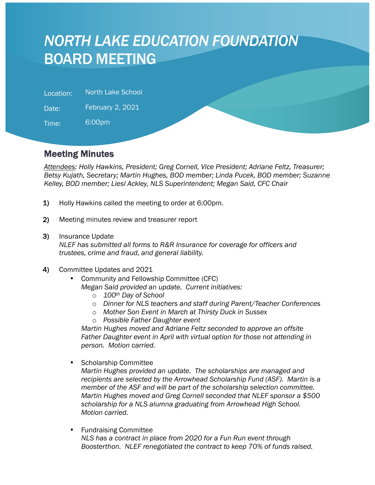# *NORTH LAKE EDUCATION FOUNDATION* BOARD MEETING

Location: North Lake School

Date: February 2, 2021

Time: 6:00pm

l

## Meeting Minutes

*Attendees: Holly Hawkins, President; Greg Cornell, Vice President; Adriane Feltz, Treasurer; Betsy Kujath, Secretary; Martin Hughes, BOD member; Linda Pucek, BOD member; Suzanne Kelley, BOD member; Liesl Ackley, NLS Superintendent; Megan Said, CFC Chair*

- 1) Holly Hawkins called the meeting to order at 6:00pm.
- 2) Meeting minutes review and treasurer report
- 3) Insurance Update

*NLEF has submitted all forms to R&R Insurance for coverage for officers and trustees, crime and fraud, and general liability.* 

- 4) Committee Updates and 2021
	- Community and Fellowship Committee (CFC) *Megan Said provided an update. Current initiatives:* 
		- o *100th Day of School*
		- o *Dinner for NLS teachers and staff during Parent/Teacher Conferences*
		- o *Mother Son Event in March at Thirsty Duck in Sussex*
		- o *Possible Father Daughter event*

*Martin Hughes moved and Adriane Feltz seconded to approve an offsite*  Father Daughter event in April with virtual option for those not attending in *person. Motion carried.*

• Scholarship Committee

*Martin Hughes provided an update. The scholarships are managed and recipients are selected by the Arrowhead Scholarship Fund (ASF). Martin is a member of the ASF and will be part of the scholarship selection committee. Martin Hughes moved and Greg Cornell seconded that NLEF sponsor a \$500 scholarship for a NLS alumna graduating from Arrowhead High School. Motion carried.*

• Fundraising Committee *NLS has a contract in place from 2020 for a Fun Run event through Boosterthon. NLEF renegotiated the contract to keep 70% of funds raised.*